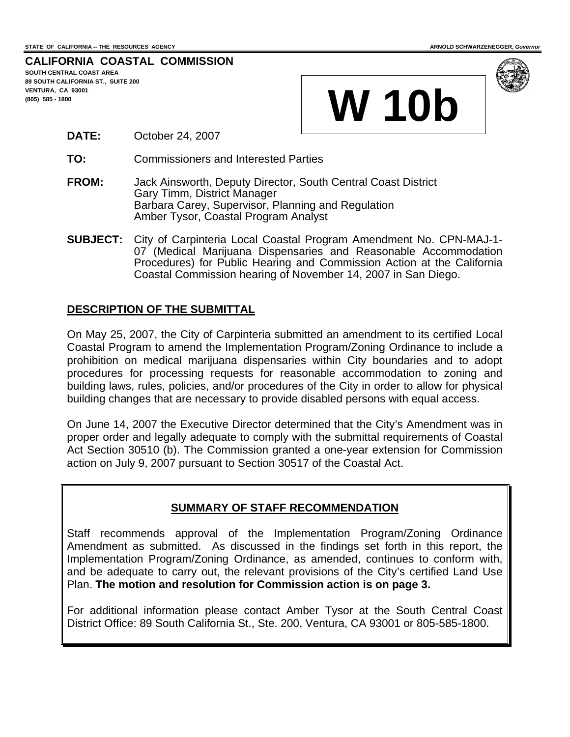### **CALIFORNIA COASTAL COMMISSION SOUTH CENTRAL COAST AREA 89 SOUTH CALIFORNIA ST., SUITE 200**

**VENTURA, CA 93001** 





### **DATE:** October 24, 2007

- **TO:** Commissioners and Interested Parties
- **FROM:** Jack Ainsworth, Deputy Director, South Central Coast District Gary Timm, District Manager Barbara Carey, Supervisor, Planning and Regulation Amber Tysor, Coastal Program Analyst
- **SUBJECT:** City of Carpinteria Local Coastal Program Amendment No. CPN-MAJ-1- 07 (Medical Marijuana Dispensaries and Reasonable Accommodation Procedures) for Public Hearing and Commission Action at the California Coastal Commission hearing of November 14, 2007 in San Diego.

## **DESCRIPTION OF THE SUBMITTAL**

On May 25, 2007, the City of Carpinteria submitted an amendment to its certified Local Coastal Program to amend the Implementation Program/Zoning Ordinance to include a prohibition on medical marijuana dispensaries within City boundaries and to adopt procedures for processing requests for reasonable accommodation to zoning and building laws, rules, policies, and/or procedures of the City in order to allow for physical building changes that are necessary to provide disabled persons with equal access.

On June 14, 2007 the Executive Director determined that the City's Amendment was in proper order and legally adequate to comply with the submittal requirements of Coastal Act Section 30510 (b). The Commission granted a one-year extension for Commission action on July 9, 2007 pursuant to Section 30517 of the Coastal Act.

### **SUMMARY OF STAFF RECOMMENDATION**

Staff recommends approval of the Implementation Program/Zoning Ordinance Amendment as submitted. As discussed in the findings set forth in this report, the Implementation Program/Zoning Ordinance, as amended, continues to conform with, and be adequate to carry out, the relevant provisions of the City's certified Land Use Plan. **The motion and resolution for Commission action is on page 3.**

For additional information please contact Amber Tysor at the South Central Coast District Office: 89 South California St., Ste. 200, Ventura, CA 93001 or 805-585-1800.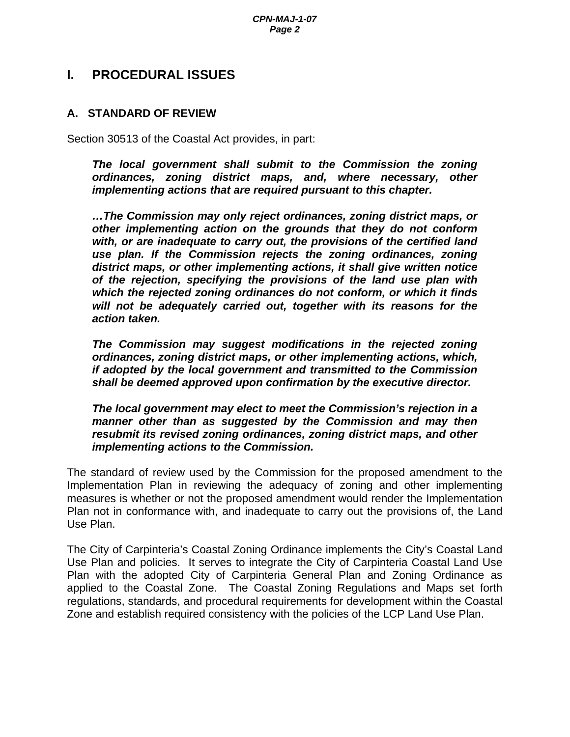# **I. PROCEDURAL ISSUES**

# **A. STANDARD OF REVIEW**

Section 30513 of the Coastal Act provides, in part:

*The local government shall submit to the Commission the zoning ordinances, zoning district maps, and, where necessary, other implementing actions that are required pursuant to this chapter.* 

*…The Commission may only reject ordinances, zoning district maps, or other implementing action on the grounds that they do not conform with, or are inadequate to carry out, the provisions of the certified land use plan. If the Commission rejects the zoning ordinances, zoning district maps, or other implementing actions, it shall give written notice of the rejection, specifying the provisions of the land use plan with which the rejected zoning ordinances do not conform, or which it finds will not be adequately carried out, together with its reasons for the action taken.* 

*The Commission may suggest modifications in the rejected zoning ordinances, zoning district maps, or other implementing actions, which, if adopted by the local government and transmitted to the Commission shall be deemed approved upon confirmation by the executive director.* 

*The local government may elect to meet the Commission's rejection in a manner other than as suggested by the Commission and may then resubmit its revised zoning ordinances, zoning district maps, and other implementing actions to the Commission.* 

The standard of review used by the Commission for the proposed amendment to the Implementation Plan in reviewing the adequacy of zoning and other implementing measures is whether or not the proposed amendment would render the Implementation Plan not in conformance with, and inadequate to carry out the provisions of, the Land Use Plan.

The City of Carpinteria's Coastal Zoning Ordinance implements the City's Coastal Land Use Plan and policies. It serves to integrate the City of Carpinteria Coastal Land Use Plan with the adopted City of Carpinteria General Plan and Zoning Ordinance as applied to the Coastal Zone. The Coastal Zoning Regulations and Maps set forth regulations, standards, and procedural requirements for development within the Coastal Zone and establish required consistency with the policies of the LCP Land Use Plan.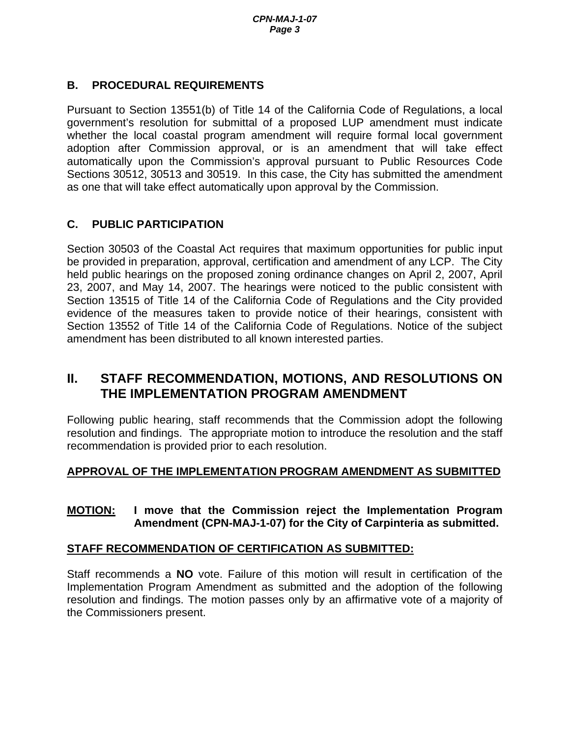# **B. PROCEDURAL REQUIREMENTS**

Pursuant to Section 13551(b) of Title 14 of the California Code of Regulations, a local government's resolution for submittal of a proposed LUP amendment must indicate whether the local coastal program amendment will require formal local government adoption after Commission approval, or is an amendment that will take effect automatically upon the Commission's approval pursuant to Public Resources Code Sections 30512, 30513 and 30519. In this case, the City has submitted the amendment as one that will take effect automatically upon approval by the Commission.

# **C. PUBLIC PARTICIPATION**

Section 30503 of the Coastal Act requires that maximum opportunities for public input be provided in preparation, approval, certification and amendment of any LCP. The City held public hearings on the proposed zoning ordinance changes on April 2, 2007, April 23, 2007, and May 14, 2007. The hearings were noticed to the public consistent with Section 13515 of Title 14 of the California Code of Regulations and the City provided evidence of the measures taken to provide notice of their hearings, consistent with Section 13552 of Title 14 of the California Code of Regulations. Notice of the subject amendment has been distributed to all known interested parties.

# **II. STAFF RECOMMENDATION, MOTIONS, AND RESOLUTIONS ON THE IMPLEMENTATION PROGRAM AMENDMENT**

Following public hearing, staff recommends that the Commission adopt the following resolution and findings. The appropriate motion to introduce the resolution and the staff recommendation is provided prior to each resolution.

# **APPROVAL OF THE IMPLEMENTATION PROGRAM AMENDMENT AS SUBMITTED**

# **MOTION: I move that the Commission reject the Implementation Program Amendment (CPN-MAJ-1-07) for the City of Carpinteria as submitted.**

# **STAFF RECOMMENDATION OF CERTIFICATION AS SUBMITTED:**

Staff recommends a **NO** vote. Failure of this motion will result in certification of the Implementation Program Amendment as submitted and the adoption of the following resolution and findings. The motion passes only by an affirmative vote of a majority of the Commissioners present.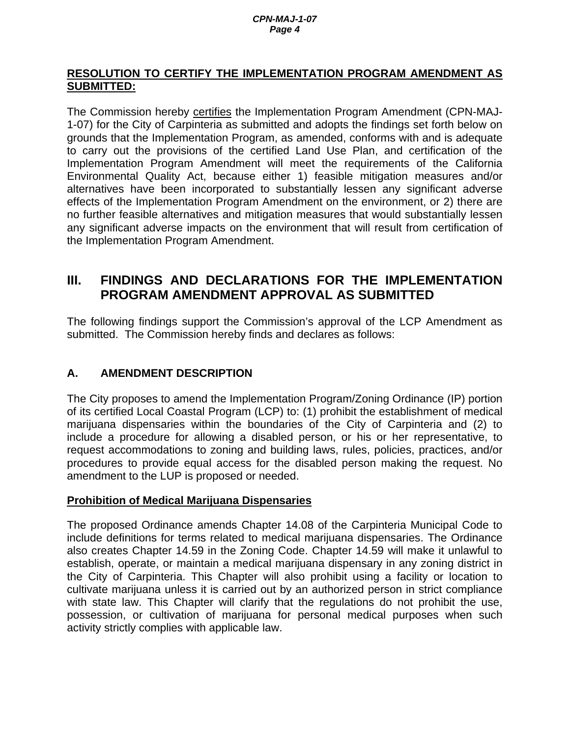# **RESOLUTION TO CERTIFY THE IMPLEMENTATION PROGRAM AMENDMENT AS SUBMITTED:**

The Commission hereby certifies the Implementation Program Amendment (CPN-MAJ-1-07) for the City of Carpinteria as submitted and adopts the findings set forth below on grounds that the Implementation Program, as amended, conforms with and is adequate to carry out the provisions of the certified Land Use Plan, and certification of the Implementation Program Amendment will meet the requirements of the California Environmental Quality Act, because either 1) feasible mitigation measures and/or alternatives have been incorporated to substantially lessen any significant adverse effects of the Implementation Program Amendment on the environment, or 2) there are no further feasible alternatives and mitigation measures that would substantially lessen any significant adverse impacts on the environment that will result from certification of the Implementation Program Amendment.

# **III. FINDINGS AND DECLARATIONS FOR THE IMPLEMENTATION PROGRAM AMENDMENT APPROVAL AS SUBMITTED**

The following findings support the Commission's approval of the LCP Amendment as submitted. The Commission hereby finds and declares as follows:

# **A. AMENDMENT DESCRIPTION**

The City proposes to amend the Implementation Program/Zoning Ordinance (IP) portion of its certified Local Coastal Program (LCP) to: (1) prohibit the establishment of medical marijuana dispensaries within the boundaries of the City of Carpinteria and (2) to include a procedure for allowing a disabled person, or his or her representative, to request accommodations to zoning and building laws, rules, policies, practices, and/or procedures to provide equal access for the disabled person making the request. No amendment to the LUP is proposed or needed.

# **Prohibition of Medical Marijuana Dispensaries**

The proposed Ordinance amends Chapter 14.08 of the Carpinteria Municipal Code to include definitions for terms related to medical marijuana dispensaries. The Ordinance also creates Chapter 14.59 in the Zoning Code. Chapter 14.59 will make it unlawful to establish, operate, or maintain a medical marijuana dispensary in any zoning district in the City of Carpinteria. This Chapter will also prohibit using a facility or location to cultivate marijuana unless it is carried out by an authorized person in strict compliance with state law. This Chapter will clarify that the regulations do not prohibit the use, possession, or cultivation of marijuana for personal medical purposes when such activity strictly complies with applicable law.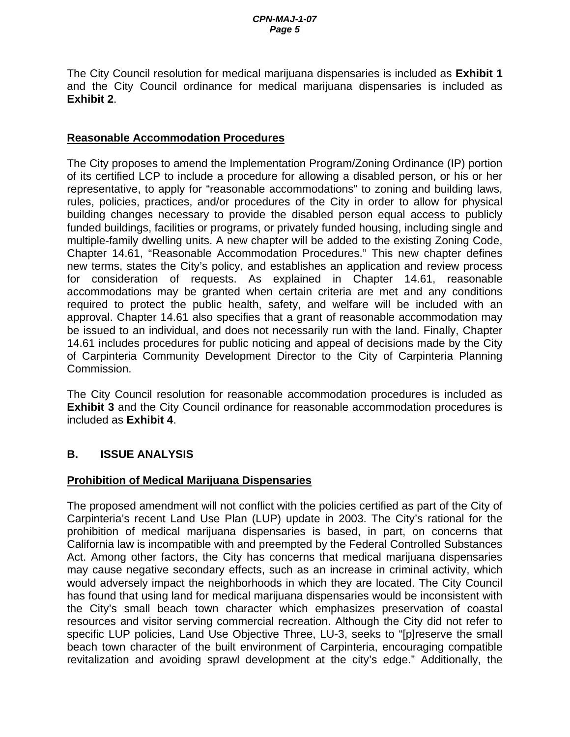The City Council resolution for medical marijuana dispensaries is included as **Exhibit 1**  and the City Council ordinance for medical marijuana dispensaries is included as **Exhibit 2**.

# **Reasonable Accommodation Procedures**

The City proposes to amend the Implementation Program/Zoning Ordinance (IP) portion of its certified LCP to include a procedure for allowing a disabled person, or his or her representative, to apply for "reasonable accommodations" to zoning and building laws, rules, policies, practices, and/or procedures of the City in order to allow for physical building changes necessary to provide the disabled person equal access to publicly funded buildings, facilities or programs, or privately funded housing, including single and multiple-family dwelling units. A new chapter will be added to the existing Zoning Code, Chapter 14.61, "Reasonable Accommodation Procedures." This new chapter defines new terms, states the City's policy, and establishes an application and review process for consideration of requests. As explained in Chapter 14.61, reasonable accommodations may be granted when certain criteria are met and any conditions required to protect the public health, safety, and welfare will be included with an approval. Chapter 14.61 also specifies that a grant of reasonable accommodation may be issued to an individual, and does not necessarily run with the land. Finally, Chapter 14.61 includes procedures for public noticing and appeal of decisions made by the City of Carpinteria Community Development Director to the City of Carpinteria Planning Commission.

The City Council resolution for reasonable accommodation procedures is included as **Exhibit 3** and the City Council ordinance for reasonable accommodation procedures is included as **Exhibit 4**.

# **B. ISSUE ANALYSIS**

# **Prohibition of Medical Marijuana Dispensaries**

The proposed amendment will not conflict with the policies certified as part of the City of Carpinteria's recent Land Use Plan (LUP) update in 2003. The City's rational for the prohibition of medical marijuana dispensaries is based, in part, on concerns that California law is incompatible with and preempted by the Federal Controlled Substances Act. Among other factors, the City has concerns that medical marijuana dispensaries may cause negative secondary effects, such as an increase in criminal activity, which would adversely impact the neighborhoods in which they are located. The City Council has found that using land for medical marijuana dispensaries would be inconsistent with the City's small beach town character which emphasizes preservation of coastal resources and visitor serving commercial recreation. Although the City did not refer to specific LUP policies, Land Use Objective Three, LU-3, seeks to "[p]reserve the small beach town character of the built environment of Carpinteria, encouraging compatible revitalization and avoiding sprawl development at the city's edge." Additionally, the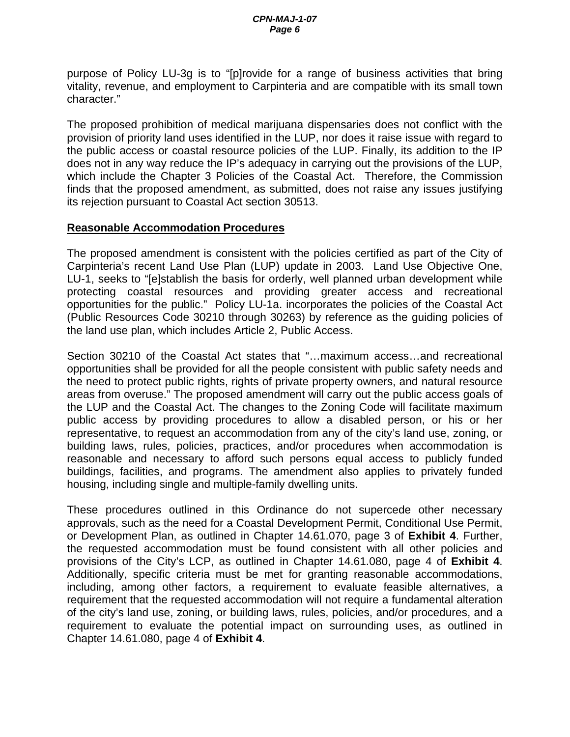purpose of Policy LU-3g is to "[p]rovide for a range of business activities that bring vitality, revenue, and employment to Carpinteria and are compatible with its small town character."

The proposed prohibition of medical marijuana dispensaries does not conflict with the provision of priority land uses identified in the LUP, nor does it raise issue with regard to the public access or coastal resource policies of the LUP. Finally, its addition to the IP does not in any way reduce the IP's adequacy in carrying out the provisions of the LUP, which include the Chapter 3 Policies of the Coastal Act. Therefore, the Commission finds that the proposed amendment, as submitted, does not raise any issues justifying its rejection pursuant to Coastal Act section 30513.

# **Reasonable Accommodation Procedures**

The proposed amendment is consistent with the policies certified as part of the City of Carpinteria's recent Land Use Plan (LUP) update in 2003. Land Use Objective One, LU-1, seeks to "[e]stablish the basis for orderly, well planned urban development while protecting coastal resources and providing greater access and recreational opportunities for the public." Policy LU-1a. incorporates the policies of the Coastal Act (Public Resources Code 30210 through 30263) by reference as the guiding policies of the land use plan, which includes Article 2, Public Access.

Section 30210 of the Coastal Act states that "…maximum access…and recreational opportunities shall be provided for all the people consistent with public safety needs and the need to protect public rights, rights of private property owners, and natural resource areas from overuse." The proposed amendment will carry out the public access goals of the LUP and the Coastal Act. The changes to the Zoning Code will facilitate maximum public access by providing procedures to allow a disabled person, or his or her representative, to request an accommodation from any of the city's land use, zoning, or building laws, rules, policies, practices, and/or procedures when accommodation is reasonable and necessary to afford such persons equal access to publicly funded buildings, facilities, and programs. The amendment also applies to privately funded housing, including single and multiple-family dwelling units.

These procedures outlined in this Ordinance do not supercede other necessary approvals, such as the need for a Coastal Development Permit, Conditional Use Permit, or Development Plan, as outlined in Chapter 14.61.070, page 3 of **Exhibit 4**. Further, the requested accommodation must be found consistent with all other policies and provisions of the City's LCP, as outlined in Chapter 14.61.080, page 4 of **Exhibit 4**. Additionally, specific criteria must be met for granting reasonable accommodations, including, among other factors, a requirement to evaluate feasible alternatives, a requirement that the requested accommodation will not require a fundamental alteration of the city's land use, zoning, or building laws, rules, policies, and/or procedures, and a requirement to evaluate the potential impact on surrounding uses, as outlined in Chapter 14.61.080, page 4 of **Exhibit 4**.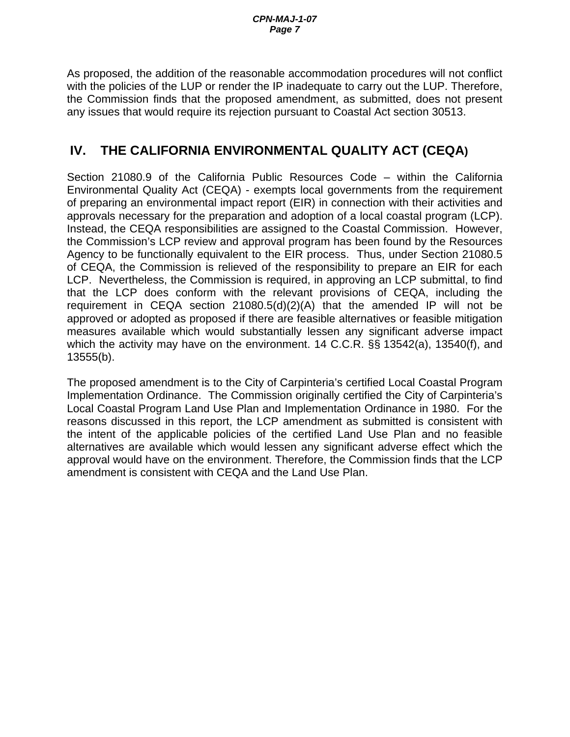As proposed, the addition of the reasonable accommodation procedures will not conflict with the policies of the LUP or render the IP inadequate to carry out the LUP. Therefore, the Commission finds that the proposed amendment, as submitted, does not present any issues that would require its rejection pursuant to Coastal Act section 30513.

# **IV. THE CALIFORNIA ENVIRONMENTAL QUALITY ACT (CEQA)**

Section 21080.9 of the California Public Resources Code – within the California Environmental Quality Act (CEQA) - exempts local governments from the requirement of preparing an environmental impact report (EIR) in connection with their activities and approvals necessary for the preparation and adoption of a local coastal program (LCP). Instead, the CEQA responsibilities are assigned to the Coastal Commission. However, the Commission's LCP review and approval program has been found by the Resources Agency to be functionally equivalent to the EIR process. Thus, under Section 21080.5 of CEQA, the Commission is relieved of the responsibility to prepare an EIR for each LCP. Nevertheless, the Commission is required, in approving an LCP submittal, to find that the LCP does conform with the relevant provisions of CEQA, including the requirement in CEQA section 21080.5(d)(2)(A) that the amended IP will not be approved or adopted as proposed if there are feasible alternatives or feasible mitigation measures available which would substantially lessen any significant adverse impact which the activity may have on the environment. 14 C.C.R. §§ 13542(a), 13540(f), and 13555(b).

The proposed amendment is to the City of Carpinteria's certified Local Coastal Program Implementation Ordinance. The Commission originally certified the City of Carpinteria's Local Coastal Program Land Use Plan and Implementation Ordinance in 1980. For the reasons discussed in this report, the LCP amendment as submitted is consistent with the intent of the applicable policies of the certified Land Use Plan and no feasible alternatives are available which would lessen any significant adverse effect which the approval would have on the environment. Therefore, the Commission finds that the LCP amendment is consistent with CEQA and the Land Use Plan.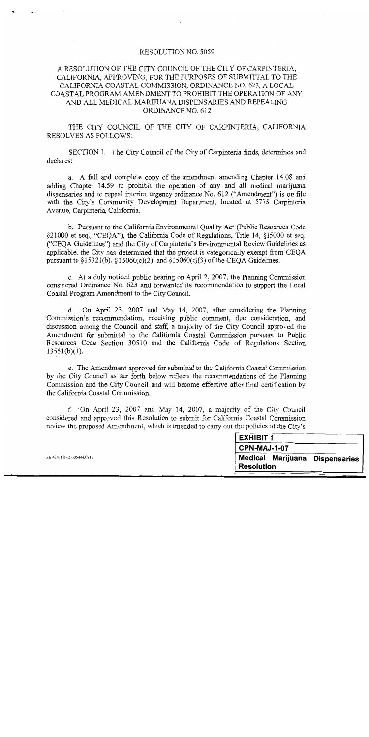### **RESOLUTION NO. 5059**

## A RESOLUTION OF THE CITY COUNCIL OF THE CITY OF CARPINTERIA, CALIFORNIA, APPROVING, FOR THE PURPOSES OF SUBMITTAL TO THE CALIFORNIA COASTAL COMMISSION, ORDINANCE NO. 623, A LOCAL COASTAL PROGRAM AMENDMENT TO PROHIBIT THE OPERATION OF ANY AND ALL MEDICAL MARIJUANA DISPENSARIES AND REPEALING ORDINANCE NO. 612

THE CITY COUNCIL OF THE CITY OF CARPINTERIA, CALIFORNIA **RESOLVES AS FOLLOWS:** 

SECTION 1. The City Council of the City of Carpinteria finds, determines and declares:

a. A full and complete copy of the amendment amending Chapter 14.08 and adding Chapter 14.59 to prohibit the operation of any and all medical marijuana dispensaries and to repeal interim urgency ordinance No. 612 ("Amendment") is on file with the City's Community Development Department, located at 5775 Carpinteria Avenue, Carpinteria, California.

b. Pursuant to the California Environmental Quality Act (Public Resources Code) §21000 et seq., "CEQA"), the California Code of Regulations, Title 14, §15000 et seq. ("CEQA Guidelines") and the City of Carpinteria's Environmental Review Guidelines as applicable, the City has determined that the project is categorically exempt from CEQA pursuant to §15321(b), §15060(c)(2), and §15060(c)(3) of the CEOA Guidelines.

c. At a duly noticed public hearing on April 2, 2007, the Planning Commission considered Ordinance No. 623 and forwarded its recommendation to support the Local Coastal Program Amendment to the City Council.

On April 23, 2007 and May 14, 2007, after considering the Planning d. Commission's recommendation, receiving public comment, due consideration, and discussion among the Council and staff, a majority of the City Council approved the Amendment for submittal to the California Coastal Commission pursuant to Public Resources Code Section 30510 and the California Code of Regulations Section  $13551(b)(1)$ .

e. The Amendment approved for submittal to the California Coastal Commission by the City Council as set forth below reflects the recommendations of the Planning Commission and the City Council and will become effective after final certification by the California Coastal Commission.

f. On April 23, 2007 and May 14, 2007, a majority of the City Council considered and approved this Resolution to submit for California Coastal Commission review the proposed Amendment, which is intended to carry out the policies of the City's

| <b>EXHIBIT 1</b>                                      |  |
|-------------------------------------------------------|--|
| <b>CPN-MAJ-1-07</b>                                   |  |
| Medical Marijuana Dispensaries  <br><b>Resolution</b> |  |

SB 424118 v2:005444,0916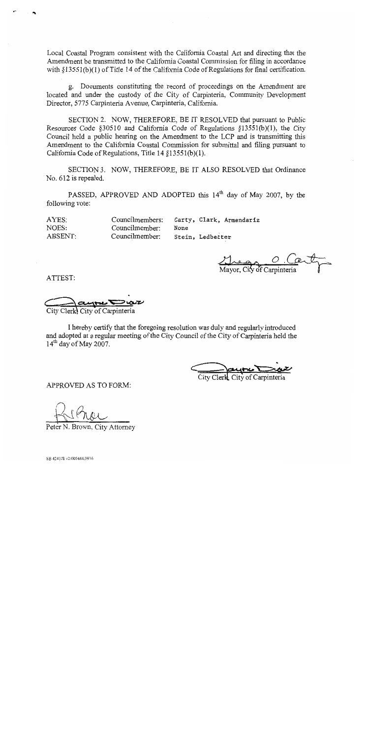Local Coastal Program consistent with the California Coastal Act and directing that the Amendment be transmitted to the California Coastal Commission for filing in accordance with  $$13551(b)(1)$  of Title 14 of the California Code of Regulations for final certification.

g. Documents constituting the record of proceedings on the Amendment are located and under the custody of the City of Carpinteria, Community Development Director, 5775 Carpinteria Avenue, Carpinteria, California.

SECTION 2. NOW, THEREFORE, BE IT RESOLVED that pursuant to Public Resources Code  $$30510$  and California Code of Regulations  $$13551(b)(1)$ , the City Council held a public hearing on the Amendment to the LCP and is transmitting this Amendment to the California Coastal Commission for submittal and filing pursuant to California Code of Regulations, Title 14 §13551(b)(1).

SECTION 3. NOW, THEREFORE, BE IT ALSO RESOLVED that Ordinance No. 612 is repealed.

PASSED, APPROVED AND ADOPTED this 14<sup>th</sup> day of May 2007, by the following vote:

| AYES:   | Councilmembers: |      | Carty, Clark, Armendariz |  |
|---------|-----------------|------|--------------------------|--|
| NOES:   | Councilmember:  | None |                          |  |
| ABSENT: | Councilmember:  |      | Stein, Ledbetter         |  |

<u>Cape C</u><br>Mayor, City of Carpinteria

ATTEST:

EUNE COVE

I hereby certify that the foregoing resolution was duly and regularly introduced and adopted at a regular meeting of the City Council of the City of Carpinteria held the  $14<sup>th</sup>$  day of May 2007.

APPROVED AS TO FORM:

N. Brown, City Attorney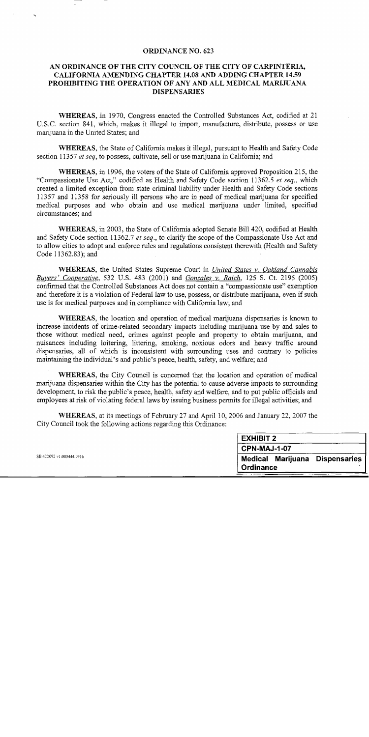### **ORDINANCE NO. 623**

## AN ORDINANCE OF THE CITY COUNCIL OF THE CITY OF CARPINTERIA, CALIFORNIA AMENDING CHAPTER 14.08 AND ADDING CHAPTER 14.59 PROHIBITING THE OPERATION OF ANY AND ALL MEDICAL MARIJUANA **DISPENSARIES**

WHEREAS, in 1970, Congress enacted the Controlled Substances Act, codified at 21 U.S.C. section 841, which, makes it illegal to import, manufacture, distribute, possess or use marijuana in the United States; and

WHEREAS, the State of California makes it illegal, pursuant to Health and Safety Code section 11357 et seq, to possess, cultivate, sell or use marijuana in California; and

WHEREAS, in 1996, the voters of the State of California approved Proposition 215, the "Compassionate Use Act," codified as Health and Safety Code section 11362.5 et seq., which created a limited exception from state criminal liability under Health and Safety Code sections 11357 and 11358 for seriously ill persons who are in need of medical marijuana for specified medical purposes and who obtain and use medical marijuana under limited, specified circumstances: and

WHEREAS, in 2003, the State of California adopted Senate Bill 420, codified at Health and Safety Code section 11362.7 et seq., to clarify the scope of the Compassionate Use Act and to allow cities to adopt and enforce rules and regulations consistent therewith (Health and Safety Code 11362.83); and

**WHEREAS**, the United States Supreme Court in United States v. Oakland Cannabis Buyers' Cooperative, 532 U.S. 483 (2001) and Gonzales v. Raich, 125 S. Ct. 2195 (2005) confirmed that the Controlled Substances Act does not contain a "compassionate use" exemption and therefore it is a violation of Federal law to use, possess, or distribute marijuana, even if such use is for medical purposes and in compliance with California law; and

WHEREAS, the location and operation of medical marijuana dispensaries is known to increase incidents of crime-related secondary impacts including marijuana use by and sales to those without medical need, crimes against people and property to obtain marijuana, and nuisances including loitering, littering, smoking, noxious odors and heavy traffic around dispensaries, all of which is inconsistent with surrounding uses and contrary to policies maintaining the individual's and public's peace, health, safety, and welfare; and

WHEREAS, the City Council is concerned that the location and operation of medical marijuana dispensaries within the City has the potential to cause adverse impacts to surrounding development, to risk the public's peace, health, safety and welfare, and to put public officials and employees at risk of violating federal laws by issuing business permits for illegal activities; and

WHEREAS, at its meetings of February 27 and April 10, 2006 and January 22, 2007 the City Council took the following actions regarding this Ordinance:

| <b>EXHIBIT 2</b>               |  |  |  |  |
|--------------------------------|--|--|--|--|
| CPN-MAJ-1-07                   |  |  |  |  |
| Medical Marijuana Dispensaries |  |  |  |  |
| Ordinance                      |  |  |  |  |

SB 422092 v1:005444.0916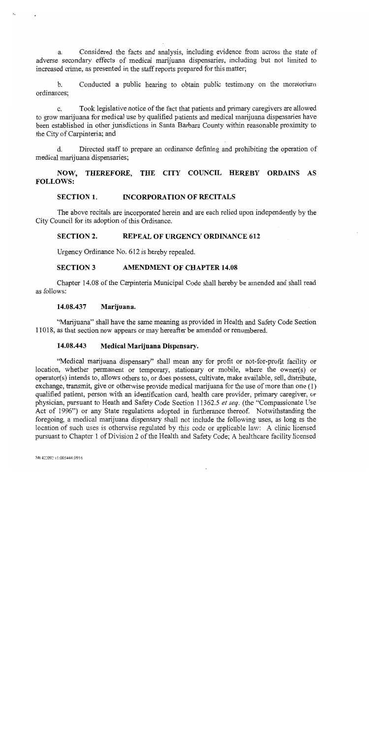Considered the facts and analysis, including evidence from across the state of  $\mathbf{a}$ adverse secondary effects of medical marijuana dispensaries, including but not limited to increased crime, as presented in the staff reports prepared for this matter;

Conducted a public hearing to obtain public testimony on the moratorium  $h$ ordinances:

 $\mathbf{c}$ . Took legislative notice of the fact that patients and primary caregivers are allowed to grow marijuana for medical use by qualified patients and medical marijuana dispensaries have been established in other jurisdictions in Santa Barbara County within reasonable proximity to the City of Carpinteria; and

Directed staff to prepare an ordinance defining and prohibiting the operation of d. medical marijuana dispensaries;

### NOW, THEREFORE, THE CITY COUNCIL HEREBY ORDAINS AS **FOLLOWS:**

#### **SECTION 1. INCORPORATION OF RECITALS**

The above recitals are incorporated herein and are each relied upon independently by the City Council for its adoption of this Ordinance.

#### **SECTION 2. REPEAL OF URGENCY ORDINANCE 612**

Urgency Ordinance No. 612 is hereby repealed.

#### **SECTION 3 AMENDMENT OF CHAPTER 14.08**

Chapter 14.08 of the Carpinteria Municipal Code shall hereby be amended and shall read as follows:

#### 14.08.437 Marijuana.

"Marijuana" shall have the same meaning as provided in Health and Safety Code Section 11018, as that section now appears or may hereafter be amended or renumbered.

#### 14.08.443 Medical Marijuana Dispensary.

"Medical marijuana dispensary" shall mean any for profit or not-for-profit facility or location, whether permanent or temporary, stationary or mobile, where the owner(s) or operator(s) intends to, allows others to, or does possess, cultivate, make available, sell, distribute, exchange, transmit, give or otherwise provide medical marijuana for the use of more than one  $(1)$ qualified patient, person with an identification card, health care provider, primary caregiver, or physician, pursuant to Heath and Safety Code Section 11362.5 et seq. (the "Compassionate Use Act of 1996") or any State regulations adopted in furtherance thereof. Notwithstanding the foregoing, a medical marijuana dispensary shall not include the following uses, as long as the location of such uses is otherwise regulated by this code or applicable law: A clinic licensed pursuant to Chapter 1 of Division 2 of the Health and Safety Code; A healthcare facility licensed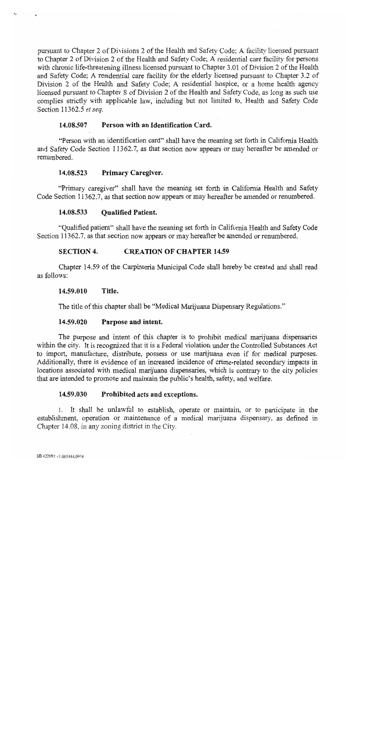pursuant to Chapter 2 of Divisions 2 of the Health and Safety Code; A facility licensed pursuant to Chapter 2 of Division 2 of the Health and Safety Code; A residential care facility for persons with chronic life-threatening illness licensed pursuant to Chapter 3.01 of Division 2 of the Health and Safety Code; A residential care facility for the elderly licensed pursuant to Chapter 3.2 of Division 2 of the Health and Safety Code; A residential hospice, or a home health agency licensed pursuant to Chapter 8 of Division 2 of the Health and Safety Code, as long as such use complies strictly with applicable law, including but not limited to, Health and Safety Code Section 11362.5 et seq.

#### Person with an Identification Card. 14.08.507

"Person with an identification card" shall have the meaning set forth in California Health and Safety Code Section 11362.7, as that section now appears or may hereafter be amended or renumbered.

#### 14.08.523 Primary Caregiver.

"Primary caregiver" shall have the meaning set forth in California Health and Safety Code Section 11362.7, as that section now appears or may hereafter be amended or renumbered.

#### 14.08.533 **Qualified Patient.**

"Qualified patient" shall have the meaning set forth in California Health and Safety Code Section 11362.7, as that section now appears or may hereafter be amended or renumbered.

#### **SECTION 4. CREATION OF CHAPTER 14.59**

Chapter 14.59 of the Carpinteria Municipal Code shall hereby be created and shall read as follows:

#### 14.59.010 Title.

The title of this chapter shall be "Medical Marijuana Dispensary Regulations."

#### 14.59.020 Purpose and intent.

The purpose and intent of this chapter is to prohibit medical marijuana dispensaries within the city. It is recognized that it is a Federal violation under the Controlled Substances Act to import, manufacture, distribute, possess or use marijuana even if for medical purposes. Additionally, there is evidence of an increased incidence of crime-related secondary impacts in locations associated with medical marijuana dispensaries, which is contrary to the city policies that are intended to promote and maintain the public's health, safety, and welfare.

#### 14.59.030 Prohibited acts and exceptions.

1. It shall be unlawful to establish, operate or maintain, or to participate in the establishment, operation or maintenance of a medical marijuana dispensary, as defined in Chapter 14.08, in any zoning district in the City.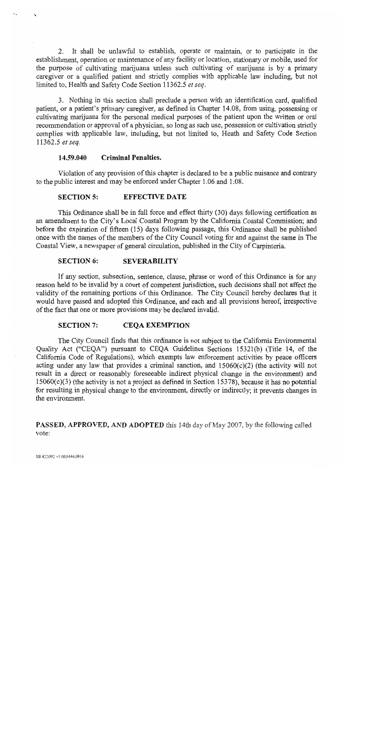2. It shall be unlawful to establish, operate or maintain, or to participate in the establishment, operation or maintenance of any facility or location, stationary or mobile, used for the purpose of cultivating marijuana unless such cultivating of marijuana is by a primary caregiver or a qualified patient and strictly complies with applicable law including, but not limited to, Health and Safety Code Section 11362.5 et seq.

3. Nothing in this section shall preclude a person with an identification card, qualified patient, or a patient's primary caregiver, as defined in Chapter 14.08, from using, possessing or cultivating marijuana for the personal medical purposes of the patient upon the written or oral recommendation or approval of a physician, so long as such use, possession or cultivation strictly complies with applicable law, including, but not limited to. Heath and Safety Code Section 11362.5 et seq.

#### 14.59.040 **Criminal Penalties.**

Violation of any provision of this chapter is declared to be a public nuisance and contrary to the public interest and may be enforced under Chapter 1.06 and 1.08.

#### **SECTION 5: EFFECTIVE DATE**

This Ordinance shall be in full force and effect thirty (30) days following certification as an amendment to the City's Local Coastal Program by the California Coastal Commission; and before the expiration of fifteen (15) days following passage, this Ordinance shall be published once with the names of the members of the City Council voting for and against the same in The Coastal View, a newspaper of general circulation, published in the City of Carpinteria.

#### **SECTION 6: SEVERABILITY**

If any section, subsection, sentence, clause, phrase or word of this Ordinance is for any reason held to be invalid by a court of competent jurisdiction, such decisions shall not affect the validity of the remaining portions of this Ordinance. The City Council hereby declares that it would have passed and adopted this Ordinance, and each and all provisions hereof, irrespective of the fact that one or more provisions may be declared invalid.

#### **SECTION 7: CEOA EXEMPTION**

The City Council finds that this ordinance is not subject to the California Environmental Quality Act ("CEQA") pursuant to CEQA Guidelines Sections 15321(b) (Title 14, of the California Code of Regulations), which exempts law enforcement activities by peace officers acting under any law that provides a criminal sanction, and  $15060(c)(2)$  (the activity will not result in a direct or reasonably foreseeable indirect physical change in the environment) and  $15060(c)(3)$  (the activity is not a project as defined in Section 15378), because it has no potential for resulting in physical change to the environment, directly or indirectly; it prevents changes in the environment.

### **PASSED, APPROVED, AND ADOPTED** this 14th day of May 2007, by the following called vote: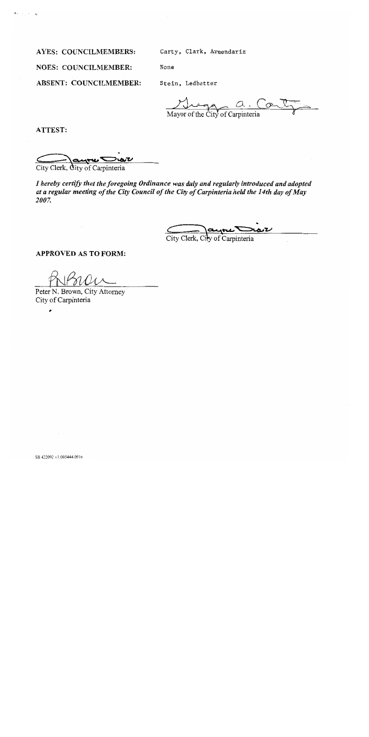**AYES: COUNCILMEMBERS:** 

Carty, Clark, Armendariz

**NOES: COUNCILMEMBER:** 

**ABSENT: COUNCILMEMBER:** 

Stein, Ledbetter

None

Mayor of the City of Carpinteria

ATTEST:

City Clerk, City of Carpinteria

I hereby certify that the foregoing Ordinance was duly and regularly introduced and adopted at a regular meeting of the City Council of the City of Carpinteria held the 14th day of May 2007.

City Clerk, City of Carpinteria

**APPROVED AS TO FORM:** 

Peter N. Brown, City Attorney City of Carpinteria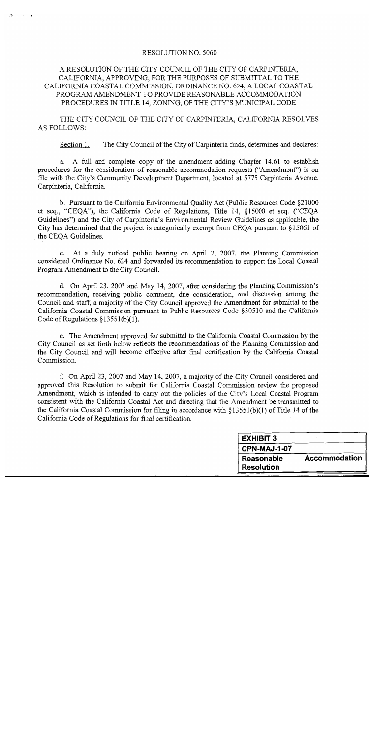### RESOLUTION NO. 5060

## A RESOLUTION OF THE CITY COUNCIL OF THE CITY OF CARPINTERIA, CALIFORNIA, APPROVING, FOR THE PURPOSES OF SUBMITTAL TO THE CALIFORNIA COASTAL COMMISSION, ORDINANCE NO. 624, A LOCAL COASTAL PROGRAM AMENDMENT TO PROVIDE REASONABLE ACCOMMODATION PROCEDURES IN TITLE 14, ZONING, OF THE CITY'S MUNICIPAL CODE

THE CITY COUNCIL OF THE CITY OF CARPINTERIA, CALIFORNIA RESOLVES **AS FOLLOWS:** 

The City Council of the City of Carpinteria finds, determines and declares: Section 1.

a. A full and complete copy of the amendment adding Chapter 14.61 to establish procedures for the consideration of reasonable accommodation requests ("Amendment") is on file with the City's Community Development Department, located at 5775 Carpinteria Avenue, Carpinteria, California.

b. Pursuant to the California Environmental Quality Act (Public Resources Code §21000) et seq., "CEQA"), the California Code of Regulations, Title 14, §15000 et seq. ("CEQA Guidelines") and the City of Carpinteria's Environmental Review Guidelines as applicable, the City has determined that the project is categorically exempt from CEQA pursuant to §15061 of the CEOA Guidelines.

c. At a duly noticed public hearing on April 2, 2007, the Planning Commission considered Ordinance No. 624 and forwarded its recommendation to support the Local Coastal Program Amendment to the City Council.

d. On April 23, 2007 and May 14, 2007, after considering the Planning Commission's recommendation, receiving public comment, due consideration, and discussion among the Council and staff, a majority of the City Council approved the Amendment for submittal to the California Coastal Commission pursuant to Public Resources Code §30510 and the California Code of Regulations  $\S 13551(b)(1)$ .

e. The Amendment approved for submittal to the California Coastal Commission by the City Council as set forth below reflects the recommendations of the Planning Commission and the City Council and will become effective after final certification by the California Coastal Commission.

f. On April 23, 2007 and May 14, 2007, a majority of the City Council considered and approved this Resolution to submit for California Coastal Commission review the proposed Amendment, which is intended to carry out the policies of the City's Local Coastal Program consistent with the California Coastal Act and directing that the Amendment be transmitted to the California Coastal Commission for filing in accordance with  $\S 13551(b)(1)$  of Title 14 of the California Code of Regulations for final certification.

| <b>EXHIBIT 3</b>    |                      |
|---------------------|----------------------|
| <b>CPN-MAJ-1-07</b> |                      |
| <b>Reasonable</b>   | <b>Accommodation</b> |
| <b>Resolution</b>   |                      |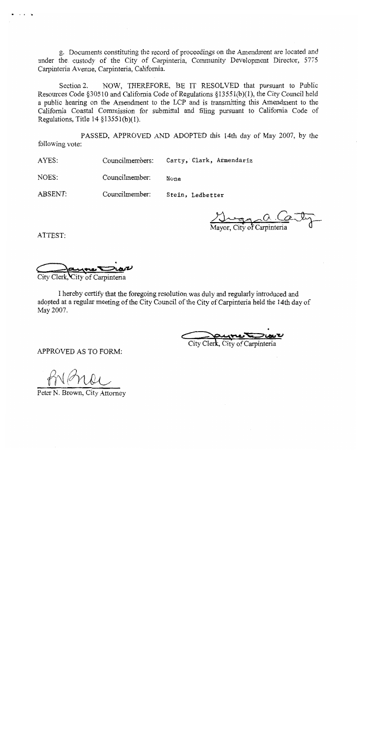g. Documents constituting the record of proceedings on the Amendment are located and under the custody of the City of Carpinteria, Community Development Director, 5775 Carpinteria Avenue, Carpinteria, California.

NOW, THEREFORE, BE IT RESOLVED that pursuant to Public Section 2. Resources Code §30510 and California Code of Regulations §13551(b)(1), the City Council held a public hearing on the Amendment to the LCP and is transmitting this Amendment to the California Coastal Commission for submittal and filing pursuant to California Code of Regulations, Title  $14 \frac{13551(b)}{1}$ .

PASSED, APPROVED AND ADOPTED this 14th day of May 2007, by the following vote:

Carty, Clark, Armendariz AYES: Councilmembers:

Councilmember: NOES: None

ABSENT: Councilmember: Stein, Ledbetter

 $\overbrace{\text{ovor. City of Capinteria}}^{\text{O. Q}}$ 

ATTEST:

City Clerk. City of Carpinteria

I hereby certify that the foregoing resolution was duly and regularly introduced and adopted at a regular meeting of the City Council of the City of Carpinteria held the 14th day of May 2007.

City Clerk, City of Carpinteria

APPROVED AS TO FORM:

Peter N. Brown, City Attorney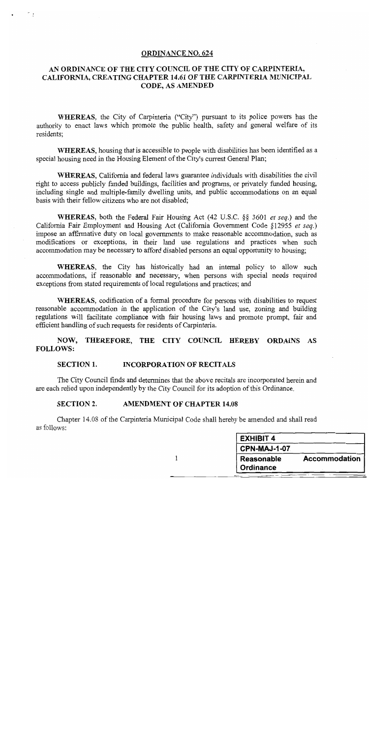### **ORDINANCE NO. 624**

## AN ORDINANCE OF THE CITY COUNCIL OF THE CITY OF CARPINTERIA, CALIFORNIA, CREATING CHAPTER 14.61 OF THE CARPINTERIA MUNICIPAL CODE, AS AMENDED

WHEREAS, the City of Carpinteria ("City") pursuant to its police powers has the authority to enact laws which promote the public health, safety and general welfare of its residents:

WHEREAS, housing that is accessible to people with disabilities has been identified as a special housing need in the Housing Element of the City's current General Plan;

WHEREAS, California and federal laws guarantee individuals with disabilities the civil right to access publicly funded buildings, facilities and programs, or privately funded housing, including single and multiple-family dwelling units, and public accommodations on an equal basis with their fellow citizens who are not disabled;

**WHEREAS**, both the Federal Fair Housing Act (42 U.S.C. §§ 3601 *et seq.*) and the California Fair Employment and Housing Act (California Government Code §12955 et seq.) impose an affirmative duty on local governments to make reasonable accommodation, such as modifications or exceptions, in their land use regulations and practices when such accommodation may be necessary to afford disabled persons an equal opportunity to housing;

**WHEREAS**, the City has historically had an internal policy to allow such accommodations, if reasonable and necessary, when persons with special needs required exceptions from stated requirements of local regulations and practices; and

**WHEREAS**, codification of a formal procedure for persons with disabilities to request reasonable accommodation in the application of the City's land use, zoning and building regulations will facilitate compliance with fair housing laws and promote prompt, fair and efficient handling of such requests for residents of Carpinteria.

NOW, THEREFORE, THE CITY COUNCIL HEREBY ORDAINS AS **FOLLOWS:** 

#### **SECTION 1. INCORPORATION OF RECITALS**

The City Council finds and determines that the above recitals are incorporated herein and are each relied upon independently by the City Council for its adoption of this Ordinance.

#### **SECTION 2. AMENDMENT OF CHAPTER 14.08**

Chapter 14.08 of the Carpinteria Municipal Code shall hereby be amended and shall read as follows:

| <b>EXHIBIT 4</b>               |               |
|--------------------------------|---------------|
| <b>CPN-MAJ-1-07</b>            |               |
| <b>Reasonable</b><br>Ordinance | Accommodation |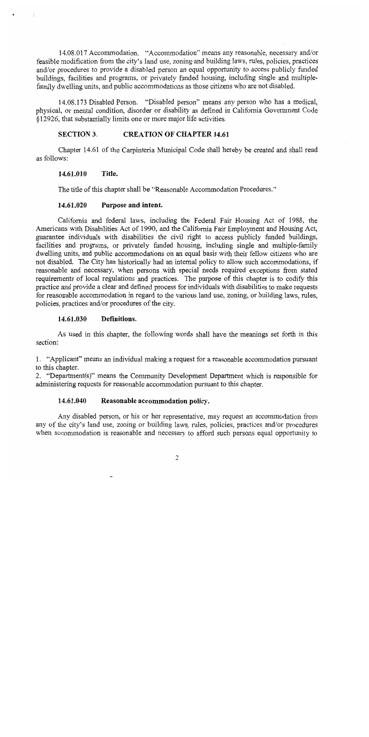14.08.017 Accommodation. "Accommodation" means any reasonable, necessary and/or feasible modification from the city's land use, zoning and building laws, rules, policies, practices and/or procedures to provide a disabled person an equal opportunity to access publicly funded buildings, facilities and programs, or privately funded housing, including single and multiplefamily dwelling units, and public accommodations as those citizens who are not disabled.

14.08.173 Disabled Person. "Disabled person" means any person who has a medical, physical, or mental condition, disorder or disability as defined in California Government Code §12926, that substantially limits one or more major life activities.

#### **SECTION 3. CREATION OF CHAPTER 14.61**

Chapter 14.61 of the Carpinteria Municipal Code shall hereby be created and shall read as follows:

#### $14.61.010$ Title.

The title of this chapter shall be "Reasonable Accommodation Procedures."

#### 14.61.020 Purpose and intent.

California and federal laws, including the Federal Fair Housing Act of 1988, the Americans with Disabilities Act of 1990, and the California Fair Employment and Housing Act, guarantee individuals with disabilities the civil right to access publicly funded buildings, facilities and programs, or privately funded housing, including single and multiple-family dwelling units, and public accommodations on an equal basis with their fellow citizens who are not disabled. The City has historically had an internal policy to allow such accommodations, if reasonable and necessary, when persons with special needs required exceptions from stated requirements of local regulations and practices. The purpose of this chapter is to codify this practice and provide a clear and defined process for individuals with disabilities to make requests for reasonable accommodation in regard to the various land use, zoning, or building laws, rules, policies, practices and/or procedures of the city.

#### 14.61.030 Definitions.

As used in this chapter, the following words shall have the meanings set forth in this section:

1. "Applicant" means an individual making a request for a reasonable accommodation pursuant to this chapter.

2. "Department(s)" means the Community Development Department which is responsible for administering requests for reasonable accommodation pursuant to this chapter.

#### 14.61.040 Reasonable accommodation policy.

Any disabled person, or his or her representative, may request an accommodation from any of the city's land use, zoning or building laws, rules, policies, practices and/or procedures when accommodation is reasonable and necessary to afford such persons equal opportunity to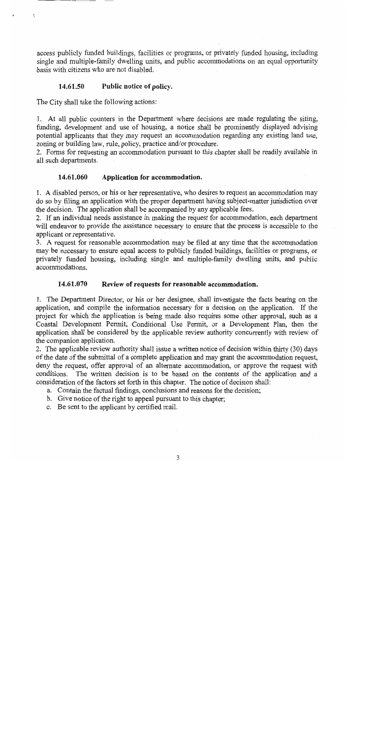access publicly funded buildings, facilities or programs, or privately funded housing, including single and multiple-family dwelling units, and public accommodations on an equal opportunity basis with citizens who are not disabled.

#### 14.61.50 Public notice of policy.

The City shall take the following actions:

1. At all public counters in the Department where decisions are made regulating the siting, funding, development and use of housing, a notice shall be prominently displayed advising potential applicants that they may request an accommodation regarding any existing land use, zoning or building law, rule, policy, practice and/or procedure.

2. Forms for requesting an accommodation pursuant to this chapter shall be readily available in all such departments.

#### 14.61.060 Application for accommodation.

1. A disabled person, or his or her representative, who desires to request an accommodation may do so by filing an application with the proper department having subject-matter jurisdiction over the decision. The application shall be accompanied by any applicable fees.

2. If an individual needs assistance in making the request for accommodation, each department will endeavor to provide the assistance necessary to ensure that the process is accessible to the applicant or representative.

3. A request for reasonable accommodation may be filed at any time that the accommodation may be necessary to ensure equal access to publicly funded buildings, facilities or programs, or privately funded housing, including single and multiple-family dwelling units, and public accommodations.

#### 14.61.070 Review of requests for reasonable accommodation.

1. The Department Director, or his or her designee, shall investigate the facts bearing on the application, and compile the information necessary for a decision on the application. If the project for which the application is being made also requires some other approval, such as a Coastal Development Permit, Conditional Use Permit, or a Development Plan, then the application shall be considered by the applicable review authority concurrently with review of the companion application.

2. The applicable review authority shall issue a written notice of decision within thirty (30) days of the date of the submittal of a complete application and may grant the accommodation request, deny the request, offer approval of an alternate accommodation, or approve the request with conditions. The written decision is to be based on the contents of the application and a consideration of the factors set forth in this chapter. The notice of decision shall:

- a. Contain the factual findings, conclusions and reasons for the decision;
- b. Give notice of the right to appeal pursuant to this chapter.
- c. Be sent to the applicant by certified mail.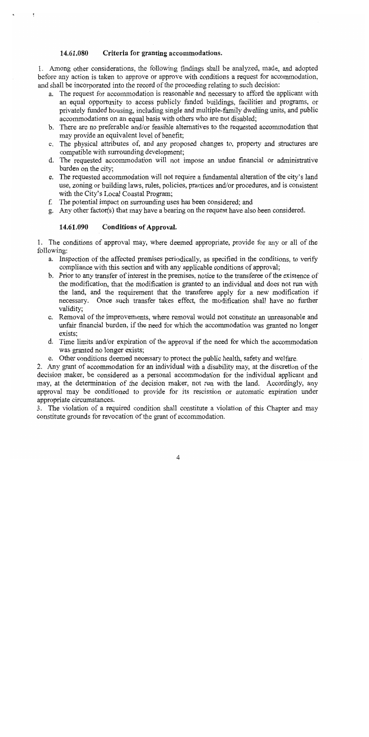#### 14.61.080 Criteria for granting accommodations.

1. Among other considerations, the following findings shall be analyzed, made, and adopted before any action is taken to approve or approve with conditions a request for accommodation, and shall be incorporated into the record of the proceeding relating to such decision:

- a. The request for accommodation is reasonable and necessary to afford the applicant with an equal opportunity to access publicly funded buildings, facilities and programs, or privately funded housing, including single and multiple-family dwelling units, and public accommodations on an equal basis with others who are not disabled;
- b. There are no preferable and/or feasible alternatives to the requested accommodation that may provide an equivalent level of benefit;
- c. The physical attributes of, and any proposed changes to, property and structures are compatible with surrounding development;
- d. The requested accommodation will not impose an undue financial or administrative burden on the city;
- e. The requested accommodation will not require a fundamental alteration of the city's land use, zoning or building laws, rules, policies, practices and/or procedures, and is consistent with the City's Local Coastal Program;
- f. The potential impact on surrounding uses has been considered; and
- g. Any other factor(s) that may have a bearing on the request have also been considered.

#### 14.61.090 **Conditions of Approval.**

1. The conditions of approval may, where deemed appropriate, provide for any or all of the following:

- a. Inspection of the affected premises periodically, as specified in the conditions, to verify compliance with this section and with any applicable conditions of approval;
- b. Prior to any transfer of interest in the premises, notice to the transferee of the existence of the modification, that the modification is granted to an individual and does not run with the land, and the requirement that the transferee apply for a new modification if necessary. Once such transfer takes effect, the modification shall have no further validity;
- c. Removal of the improvements, where removal would not constitute an unreasonable and unfair financial burden, if the need for which the accommodation was granted no longer exists:
- d. Time limits and/or expiration of the approval if the need for which the accommodation was granted no longer exists;
- e. Other conditions deemed necessary to protect the public health, safety and welfare.

2. Any grant of accommodation for an individual with a disability may, at the discretion of the decision maker, be considered as a personal accommodation for the individual applicant and may, at the determination of the decision maker, not run with the land. Accordingly, any approval may be conditioned to provide for its rescission or automatic expiration under appropriate circumstances.

3. The violation of a required condition shall constitute a violation of this Chapter and may constitute grounds for revocation of the grant of accommodation.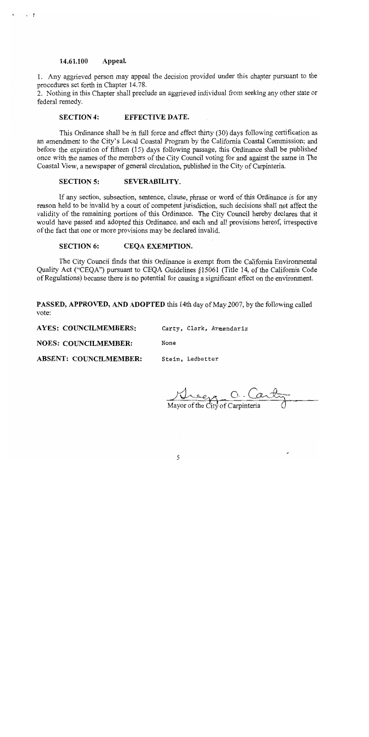#### 14.61.100 Appeal.

1. Any aggrieved person may appeal the decision provided under this chapter pursuant to the procedures set forth in Chapter 14.78.

2. Nothing in this Chapter shall preclude an aggrieved individual from seeking any other state or federal remedy.

#### EFFECTIVE DATE. **SECTION 4:**

This Ordinance shall be in full force and effect thirty (30) days following certification as an amendment to the City's Local Coastal Program by the California Coastal Commission; and before the expiration of fifteen (15) days following passage, this Ordinance shall be published once with the names of the members of the City Council voting for and against the same in The Coastal View, a newspaper of general circulation, published in the City of Carpinteria.

#### **SECTION 5:** SEVERABILITY.

If any section, subsection, sentence, clause, phrase or word of this Ordinance is for any reason held to be invalid by a court of competent jurisdiction, such decisions shall not affect the validity of the remaining portions of this Ordinance. The City Council hereby declares that it would have passed and adopted this Ordinance, and each and all provisions hereof, irrespective of the fact that one or more provisions may be declared invalid.

#### **SECTION 6:** CEQA EXEMPTION.

The City Council finds that this Ordinance is exempt from the California Environmental Quality Act ("CEQA") pursuant to CEQA Guidelines §15061 (Title 14, of the California Code of Regulations) because there is no potential for causing a significant effect on the environment.

**PASSED, APPROVED, AND ADOPTED** this 14th day of May 2007, by the following called vote:

**AYES: COUNCILMEMBERS:** Carty, Clark, Armendariz

None **NOES: COUNCILMEMBER:** 

**ABSENT: COUNCILMEMBER:** Stein, Ledbetter

Mayor of the City of Carpinteria